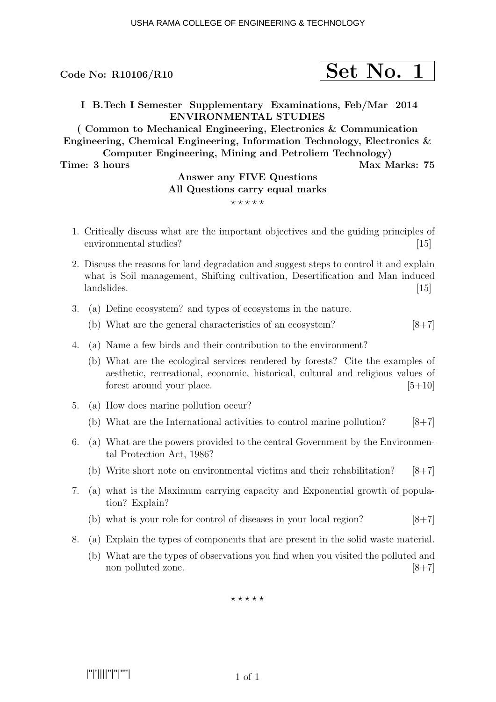Code No:  $R10106/R10$ 

$$
\fbox{Set No. 1}
$$

I B.Tech I Semester Supplementary Examinations, Feb/Mar 2014 ENVIRONMENTAL STUDIES

( Common to Mechanical Engineering, Electronics & Communication Engineering, Chemical Engineering, Information Technology, Electronics & Computer Engineering, Mining and Petroliem Technology)

Time: 3 hours Max Marks: 75

## Answer any FIVE Questions All Questions carry equal marks  $***$ \*\*

1. Critically discuss what are the important objectives and the guiding principles of environmental studies? [15]

- 2. Discuss the reasons for land degradation and suggest steps to control it and explain what is Soil management, Shifting cultivation, Desertification and Man induced landslides. [15]
- 3. (a) Define ecosystem? and types of ecosystems in the nature.
	- (b) What are the general characteristics of an ecosystem?  $[8+7]$
- 4. (a) Name a few birds and their contribution to the environment?
	- (b) What are the ecological services rendered by forests? Cite the examples of aesthetic, recreational, economic, historical, cultural and religious values of forest around your place.  $[5+10]$
- 5. (a) How does marine pollution occur?
	- (b) What are the International activities to control marine pollution?  $[8+7]$
- 6. (a) What are the powers provided to the central Government by the Environmental Protection Act, 1986?
	- (b) Write short note on environmental victims and their rehabilitation?  $[8+7]$
- 7. (a) what is the Maximum carrying capacity and Exponential growth of population? Explain?
	- (b) what is your role for control of diseases in your local region?  $[8+7]$
- 8. (a) Explain the types of components that are present in the solid waste material.
	- (b) What are the types of observations you find when you visited the polluted and non polluted zone. [8+7]

 $***$  \* \* \* \*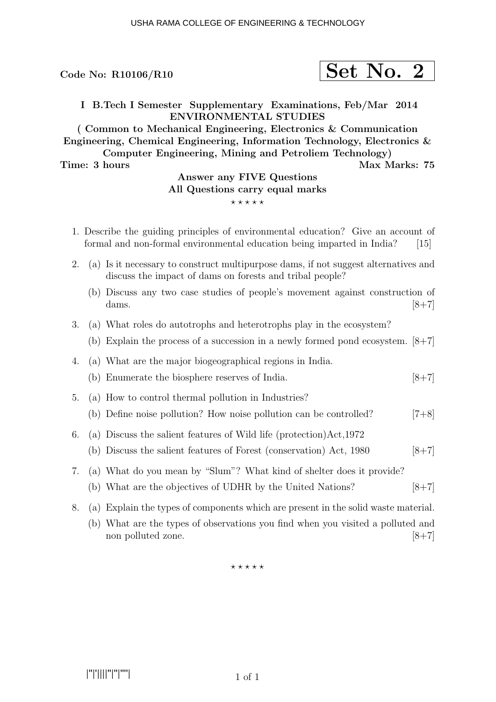# $\rm{Code~No:~R10106/R10} \qquad \qquad \textcolor{red}{\textbf{Set}~No.~2}$

I B.Tech I Semester Supplementary Examinations, Feb/Mar 2014 ENVIRONMENTAL STUDIES

( Common to Mechanical Engineering, Electronics & Communication Engineering, Chemical Engineering, Information Technology, Electronics & Computer Engineering, Mining and Petroliem Technology)

Time: 3 hours Max Marks: 75

## Answer any FIVE Questions All Questions carry equal marks  $***$ \*\*

- 1. Describe the guiding principles of environmental education? Give an account of formal and non-formal environmental education being imparted in India? [15]
- 2. (a) Is it necessary to construct multipurpose dams, if not suggest alternatives and discuss the impact of dams on forests and tribal people?
	- (b) Discuss any two case studies of people's movement against construction of dams.  $[8+7]$
- 3. (a) What roles do autotrophs and heterotrophs play in the ecosystem?
	- (b) Explain the process of a succession in a newly formed pond ecosystem. [8+7]
- 4. (a) What are the major biogeographical regions in India.
	- (b) Enumerate the biosphere reserves of India.  $[8+7]$
- 5. (a) How to control thermal pollution in Industries?
	- (b) Define noise pollution? How noise pollution can be controlled? [7+8]
- 6. (a) Discuss the salient features of Wild life (protection)Act,1972
	- (b) Discuss the salient features of Forest (conservation) Act,  $1980$  [8+7]
- 7. (a) What do you mean by "Slum"? What kind of shelter does it provide?
	- (b) What are the objectives of UDHR by the United Nations?  $[8+7]$
- 8. (a) Explain the types of components which are present in the solid waste material.
	- (b) What are the types of observations you find when you visited a polluted and non polluted zone. [8+7]

 $\star \star \star \star \star$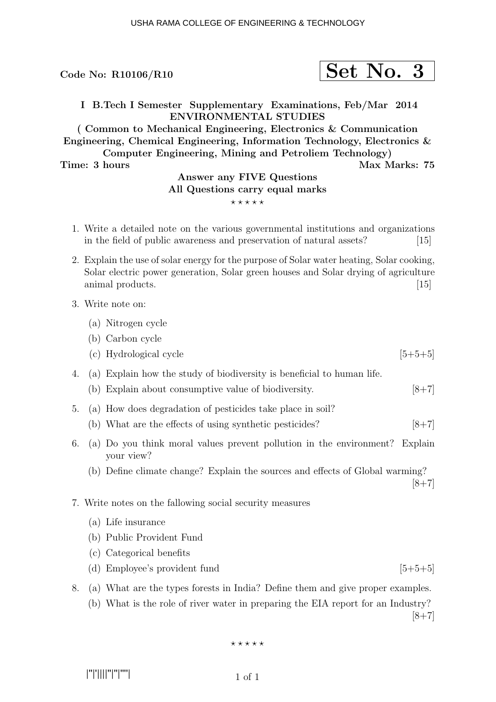Code No:  $R10106/R10$ 

I B.Tech I Semester Supplementary Examinations, Feb/Mar 2014 ENVIRONMENTAL STUDIES

( Common to Mechanical Engineering, Electronics & Communication Engineering, Chemical Engineering, Information Technology, Electronics & Computer Engineering, Mining and Petroliem Technology)

Time: 3 hours Max Marks: 75

#### Answer any FIVE Questions All Questions carry equal marks  $***$ \*\*

- 1. Write a detailed note on the various governmental institutions and organizations in the field of public awareness and preservation of natural assets? [15]
- 2. Explain the use of solar energy for the purpose of Solar water heating, Solar cooking, Solar electric power generation, Solar green houses and Solar drying of agriculture animal products. [15]

#### 3. Write note on:

- (a) Nitrogen cycle
- (b) Carbon cycle
- (c) Hydrological cycle  $[5+5+5]$
- 4. (a) Explain how the study of biodiversity is beneficial to human life.
	- (b) Explain about consumptive value of biodiversity. [8+7]
- 5. (a) How does degradation of pesticides take place in soil?
	- (b) What are the effects of using synthetic pesticides?  $[8+7]$
- 6. (a) Do you think moral values prevent pollution in the environment? Explain your view?
	- (b) Define climate change? Explain the sources and effects of Global warming?

 $[8+7]$ 

- 7. Write notes on the fallowing social security measures
	- (a) Life insurance
	- (b) Public Provident Fund
	- (c) Categorical benefits
	- (d) Employee's provident fund  $[5+5+5]$
- 8. (a) What are the types forests in India? Define them and give proper examples.

(b) What is the role of river water in preparing the EIA report for an Industry?  $[8+7]$ 

$$
\star\star\star\star\star
$$

|''|'||||''|''|''''|